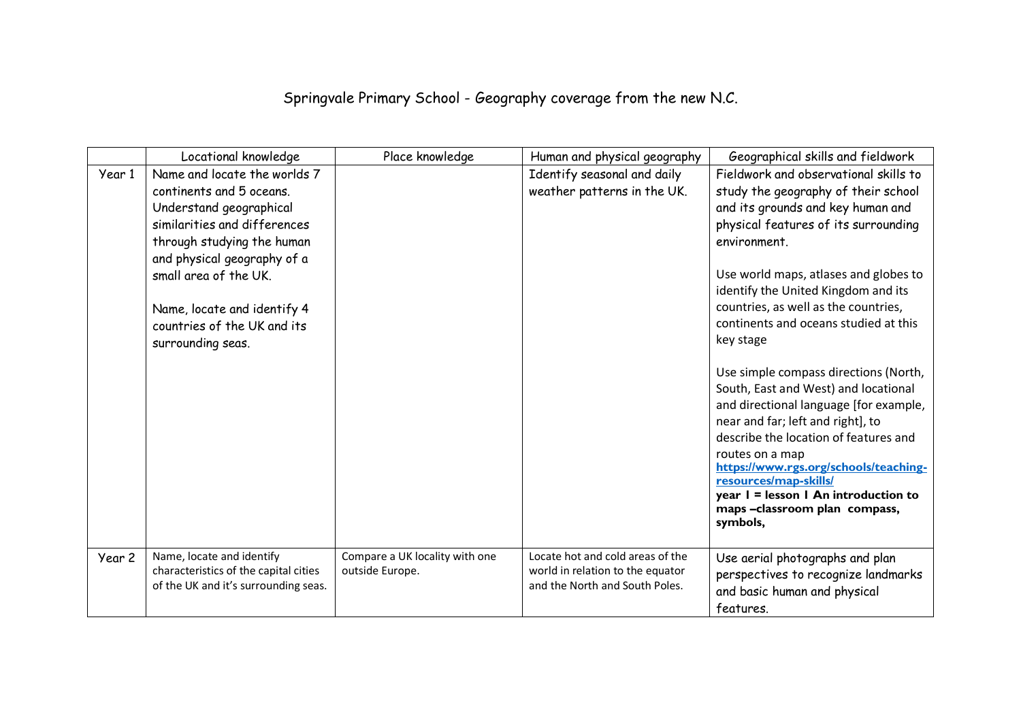## Springvale Primary School - Geography coverage from the new N.C.

|        | Locational knowledge                                                                                                                                                                                                                                                                         | Place knowledge                                   | Human and physical geography                                                                           | Geographical skills and fieldwork                                                                                                                                                                                                                                                                                                                                                                                                                                                                                                                                                                                                                                                                                                          |
|--------|----------------------------------------------------------------------------------------------------------------------------------------------------------------------------------------------------------------------------------------------------------------------------------------------|---------------------------------------------------|--------------------------------------------------------------------------------------------------------|--------------------------------------------------------------------------------------------------------------------------------------------------------------------------------------------------------------------------------------------------------------------------------------------------------------------------------------------------------------------------------------------------------------------------------------------------------------------------------------------------------------------------------------------------------------------------------------------------------------------------------------------------------------------------------------------------------------------------------------------|
| Year 1 | Name and locate the worlds 7<br>continents and 5 oceans.<br>Understand geographical<br>similarities and differences<br>through studying the human<br>and physical geography of a<br>small area of the UK.<br>Name, locate and identify 4<br>countries of the UK and its<br>surrounding seas. |                                                   | Identify seasonal and daily<br>weather patterns in the UK.                                             | Fieldwork and observational skills to<br>study the geography of their school<br>and its grounds and key human and<br>physical features of its surrounding<br>environment.<br>Use world maps, atlases and globes to<br>identify the United Kingdom and its<br>countries, as well as the countries,<br>continents and oceans studied at this<br>key stage<br>Use simple compass directions (North,<br>South, East and West) and locational<br>and directional language [for example,<br>near and far; left and right], to<br>describe the location of features and<br>routes on a map<br>https://www.rgs.org/schools/teaching-<br>resources/map-skills/<br>year I = lesson I An introduction to<br>maps -classroom plan compass,<br>symbols, |
| Year 2 | Name, locate and identify<br>characteristics of the capital cities<br>of the UK and it's surrounding seas.                                                                                                                                                                                   | Compare a UK locality with one<br>outside Europe. | Locate hot and cold areas of the<br>world in relation to the equator<br>and the North and South Poles. | Use aerial photographs and plan<br>perspectives to recognize landmarks<br>and basic human and physical<br>features.                                                                                                                                                                                                                                                                                                                                                                                                                                                                                                                                                                                                                        |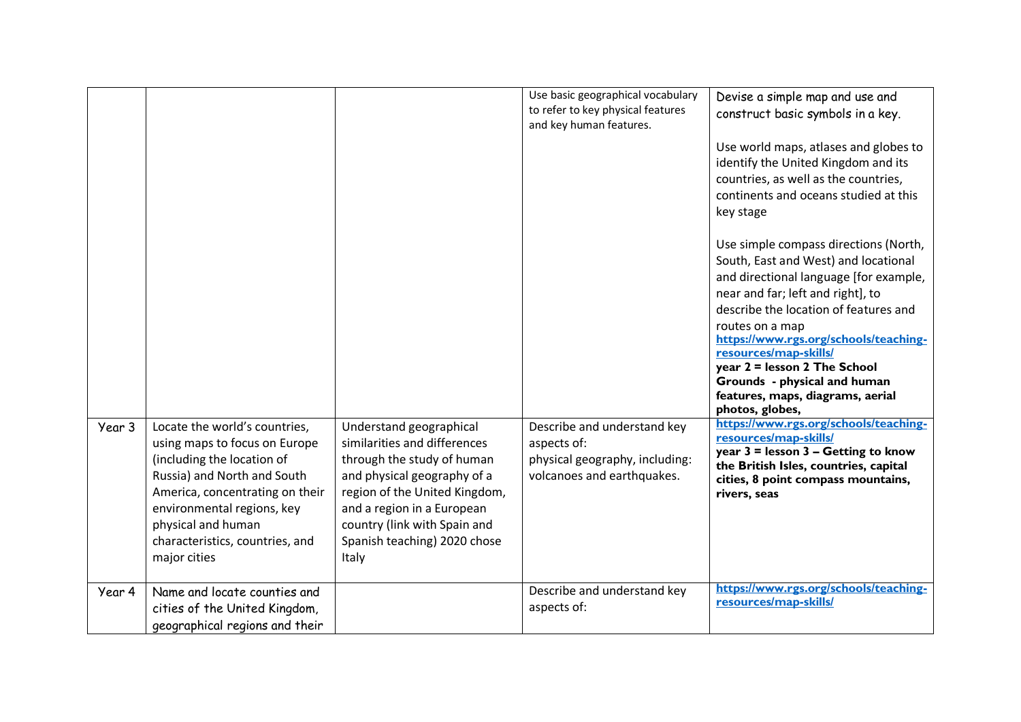|        |                                                                                                                                                                                                                                                                       |                                                                                                                                                                                                                                                              | Use basic geographical vocabulary<br>to refer to key physical features<br>and key human features.          | Devise a simple map and use and<br>construct basic symbols in a key.<br>Use world maps, atlases and globes to<br>identify the United Kingdom and its<br>countries, as well as the countries,<br>continents and oceans studied at this<br>key stage<br>Use simple compass directions (North,<br>South, East and West) and locational<br>and directional language [for example,<br>near and far; left and right], to<br>describe the location of features and<br>routes on a map<br>https://www.rgs.org/schools/teaching-<br>resources/map-skills/<br>year 2 = lesson 2 The School<br>Grounds - physical and human<br>features, maps, diagrams, aerial<br>photos, globes, |
|--------|-----------------------------------------------------------------------------------------------------------------------------------------------------------------------------------------------------------------------------------------------------------------------|--------------------------------------------------------------------------------------------------------------------------------------------------------------------------------------------------------------------------------------------------------------|------------------------------------------------------------------------------------------------------------|-------------------------------------------------------------------------------------------------------------------------------------------------------------------------------------------------------------------------------------------------------------------------------------------------------------------------------------------------------------------------------------------------------------------------------------------------------------------------------------------------------------------------------------------------------------------------------------------------------------------------------------------------------------------------|
| Year 3 | Locate the world's countries,<br>using maps to focus on Europe<br>(including the location of<br>Russia) and North and South<br>America, concentrating on their<br>environmental regions, key<br>physical and human<br>characteristics, countries, and<br>major cities | Understand geographical<br>similarities and differences<br>through the study of human<br>and physical geography of a<br>region of the United Kingdom,<br>and a region in a European<br>country (link with Spain and<br>Spanish teaching) 2020 chose<br>Italy | Describe and understand key<br>aspects of:<br>physical geography, including:<br>volcanoes and earthquakes. | https://www.rgs.org/schools/teaching-<br>resources/map-skills/<br>year 3 = lesson 3 - Getting to know<br>the British Isles, countries, capital<br>cities, 8 point compass mountains,<br>rivers, seas                                                                                                                                                                                                                                                                                                                                                                                                                                                                    |
| Year 4 | Name and locate counties and<br>cities of the United Kingdom,<br>geographical regions and their                                                                                                                                                                       |                                                                                                                                                                                                                                                              | Describe and understand key<br>aspects of:                                                                 | https://www.rgs.org/schools/teaching-<br>resources/map-skills/                                                                                                                                                                                                                                                                                                                                                                                                                                                                                                                                                                                                          |